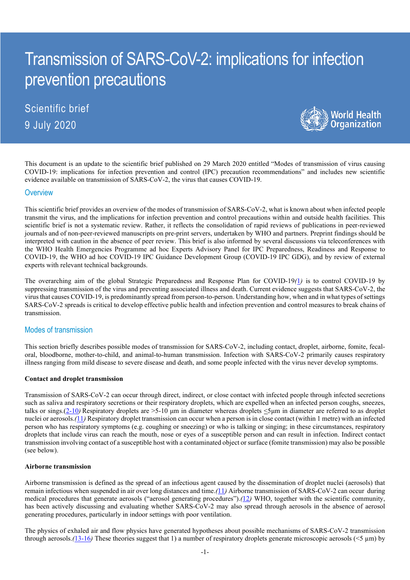# Transmission of SARS-CoV-2: implications for infection prevention precautions

Scientific brief 9 July 2020



This document is an update to the scientific brief published on 29 March 2020 entitled "Modes of transmission of virus causing COVID-19: implications for infection prevention and control (IPC) precaution recommendations" and includes new scientific evidence available on transmission of SARS-CoV-2, the virus that causes COVID-19.

#### **Overview**

This scientific brief provides an overview of the modes of transmission of SARS-CoV-2, what is known about when infected people transmit the virus, and the implications for infection prevention and control precautions within and outside health facilities. This scientific brief is not a systematic review. Rather, it reflects the consolidation of rapid reviews of publications in peer-reviewed journals and of non-peer-reviewed manuscripts on pre-print servers, undertaken by WHO and partners. Preprint findings should be interpreted with caution in the absence of peer review. This brief is also informed by several discussions via teleconferences with the WHO Health Emergencies Programme ad hoc Experts Advisory Panel for IPC Preparedness, Readiness and Response to COVID-19, the WHO ad hoc COVID-19 IPC Guidance Development Group (COVID-19 IPC GDG), and by review of external experts with relevant technical backgrounds.

The overarching aim of the global Strategic Preparedness and Response Plan for COVID-19*(*1*)* is to control COVID-19 by suppressing transmission of the virus and preventing associated illness and death. Current evidence suggests that SARS-CoV-2, the virus that causes COVID-19, is predominantly spread from person-to-person. Understanding how, when and in what types of settings SARS-CoV-2 spreads is critical to develop effective public health and infection prevention and control measures to break chains of transmission.

# Modes of transmission

This section briefly describes possible modes of transmission for SARS-CoV-2, including contact, droplet, airborne, fomite, fecaloral, bloodborne, mother-to-child, and animal-to-human transmission. Infection with SARS-CoV-2 primarily causes respiratory illness ranging from mild disease to severe disease and death, and some people infected with the virus never develop symptoms.

#### **Contact and droplet transmission**

Transmission of SARS-CoV-2 can occur through direct, indirect, or close contact with infected people through infected secretions such as saliva and respiratory secretions or their respiratory droplets, which are expelled when an infected person coughs, sneezes, talks or sings.(2-10*)* Respiratory droplets are >5-10 μm in diameter whereas droplets <5μm in diameter are referred to as droplet nuclei or aerosols.*(*11*)* Respiratory droplet transmission can occur when a person is in close contact (within 1 metre) with an infected person who has respiratory symptoms (e.g. coughing or sneezing) or who is talking or singing; in these circumstances, respiratory droplets that include virus can reach the mouth, nose or eyes of a susceptible person and can result in infection. Indirect contact transmission involving contact of a susceptible host with a contaminated object or surface (fomite transmission) may also be possible (see below).

#### **Airborne transmission**

Airborne transmission is defined as the spread of an infectious agent caused by the dissemination of droplet nuclei (aerosols) that remain infectious when suspended in air over long distances and time.*(*11*)* Airborne transmission of SARS-CoV-2 can occur during medical procedures that generate aerosols ("aerosol generating procedures").*(*12*)* WHO, together with the scientific community, has been actively discussing and evaluating whether SARS-CoV-2 may also spread through aerosols in the absence of aerosol generating procedures, particularly in indoor settings with poor ventilation.

The physics of exhaled air and flow physics have generated hypotheses about possible mechanisms of SARS-CoV-2 transmission through aerosols. $(13-16)$  These theories suggest that 1) a number of respiratory droplets generate microscopic aerosols ( $\leq 5 \mu m$ ) by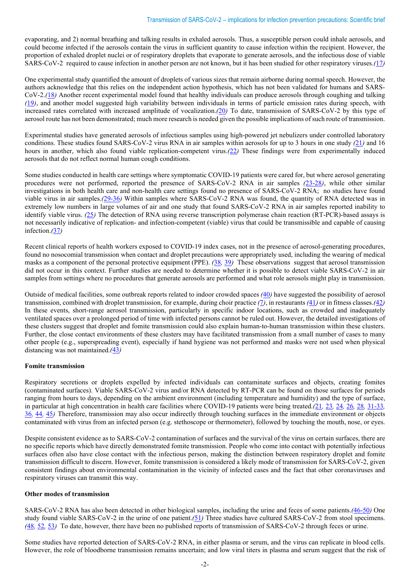evaporating, and 2) normal breathing and talking results in exhaled aerosols. Thus, a susceptible person could inhale aerosols, and could become infected if the aerosols contain the virus in sufficient quantity to cause infection within the recipient. However, the proportion of exhaled droplet nuclei or of respiratory droplets that evaporate to generate aerosols, and the infectious dose of viable SARS-CoV-2 required to cause infection in another person are not known, but it has been studied for other respiratory viruses.*(*17*)*

One experimental study quantified the amount of droplets of various sizes that remain airborne during normal speech. However, the authors acknowledge that this relies on the independent action hypothesis, which has not been validated for humans and SARS-CoV-2.*(*18*)* Another recent experimental model found that healthy individuals can produce aerosols through coughing and talking *(*19*)*, and another model suggested high variability between individuals in terms of particle emission rates during speech, with increased rates correlated with increased amplitude of vocalization.*(*20*)* To date, transmission of SARS-CoV-2 by this type of aerosol route has not been demonstrated; much more research is needed given the possible implications of such route of transmission.

Experimental studies have generated aerosols of infectious samples using high-powered jet nebulizers under controlled laboratory conditions. These studies found SARS-CoV-2 virus RNA in air samples within aerosols for up to 3 hours in one study *(*21*)* and 16 hours in another, which also found viable replication-competent virus.*(*22*)* These findings were from experimentally induced aerosols that do not reflect normal human cough conditions.

Some studies conducted in health care settings where symptomatic COVID-19 patients were cared for, but where aerosol generating procedures were not performed, reported the presence of SARS-CoV-2 RNA in air samples *(*23-28*)*, while other similar investigations in both health care and non-health care settings found no presence of SARS-CoV-2 RNA; no studies have found viable virus in air samples.*(*29-36*)* Within samples where SARS-CoV-2 RNA was found, the quantity of RNA detected was in extremely low numbers in large volumes of air and one study that found SARS-CoV-2 RNA in air samples reported inability to identify viable virus. *(*25*)* The detection of RNA using reverse transcription polymerase chain reaction (RT-PCR)-based assays is not necessarily indicative of replication- and infection-competent (viable) virus that could be transmissible and capable of causing infection.*(*37*)*

Recent clinical reports of health workers exposed to COVID-19 index cases, not in the presence of aerosol-generating procedures, found no nosocomial transmission when contact and droplet precautions were appropriately used, including the wearing of medical masks as a component of the personal protective equipment (PPE). *(*38*,* 39*)* These observations suggest that aerosol transmission did not occur in this context. Further studies are needed to determine whether it is possible to detect viable SARS-CoV-2 in air samples from settings where no procedures that generate aerosols are performed and what role aerosols might play in transmission.

Outside of medical facilities, some outbreak reports related to indoor crowded spaces *(*40*)* have suggested the possibility of aerosol transmission, combined with droplet transmission, for example, during choir practice *(*7*)*, in restaurants *(*41*)* or in fitness classes.*(*42*)* In these events, short-range aerosol transmission, particularly in specific indoor locations, such as crowded and inadequately ventilated spaces over a prolonged period of time with infected persons cannot be ruled out. However, the detailed investigations of these clusters suggest that droplet and fomite transmission could also explain human-to-human transmission within these clusters. Further, the close contact environments of these clusters may have facilitated transmission from a small number of cases to many other people (e.g., superspreading event), especially if hand hygiene was not performed and masks were not used when physical distancing was not maintained.*(*43*)*

#### **Fomite transmission**

Respiratory secretions or droplets expelled by infected individuals can contaminate surfaces and objects, creating fomites (contaminated surfaces). Viable SARS-CoV-2 virus and/or RNA detected by RT-PCR can be found on those surfaces for periods ranging from hours to days, depending on the ambient environment (including temperature and humidity) and the type of surface, in particular at high concentration in health care facilities where COVID-19 patients were being treated.*(*21*,* 23*,* 24*,* 26*,* 28*,* 31-33*,*  36*,* 44*,* 45*)* Therefore, transmission may also occur indirectly through touching surfaces in the immediate environment or objects contaminated with virus from an infected person (e.g. stethoscope or thermometer), followed by touching the mouth, nose, or eyes.

Despite consistent evidence as to SARS-CoV-2 contamination of surfaces and the survival of the virus on certain surfaces, there are no specific reports which have directly demonstrated fomite transmission. People who come into contact with potentially infectious surfaces often also have close contact with the infectious person, making the distinction between respiratory droplet and fomite transmission difficult to discern. However, fomite transmission is considered a likely mode of transmission for SARS-CoV-2, given consistent findings about environmental contamination in the vicinity of infected cases and the fact that other coronaviruses and respiratory viruses can transmit this way.

#### **Other modes of transmission**

SARS-CoV-2 RNA has also been detected in other biological samples, including the urine and feces of some patients.*(*46-50*)* One study found viable SARS-CoV-2 in the urine of one patient.*(*51*)* Three studies have cultured SARS-CoV-2 from stool specimens. *(*48*,* 52*,* 53*)* To date, however, there have been no published reports of transmission of SARS-CoV-2 through feces or urine.

Some studies have reported detection of SARS-CoV-2 RNA, in either plasma or serum, and the virus can replicate in blood cells. However, the role of bloodborne transmission remains uncertain; and low viral titers in plasma and serum suggest that the risk of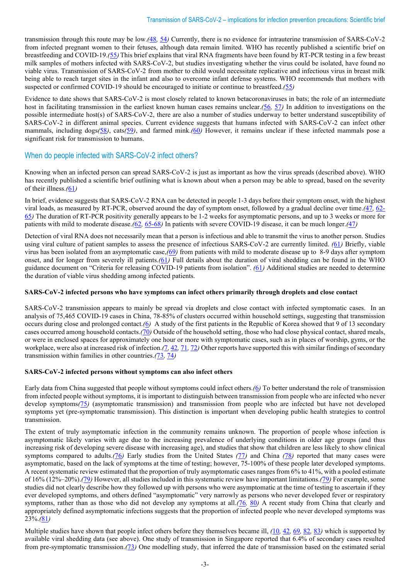transmission through this route may be low.*(*48*,* 54*)* Currently, there is no evidence for intrauterine transmission of SARS-CoV-2 from infected pregnant women to their fetuses, although data remain limited. WHO has recently published a scientific brief on breastfeeding and COVID-19.*(*55*)*This brief explains that viral RNA fragments have been found by RT-PCR testing in a few breast milk samples of mothers infected with SARS-CoV-2, but studies investigating whether the virus could be isolated, have found no viable virus. Transmission of SARS-CoV-2 from mother to child would necessitate replicative and infectious virus in breast milk being able to reach target sites in the infant and also to overcome infant defense systems. WHO recommends that mothers with suspected or confirmed COVID-19 should be encouraged to initiate or continue to breastfeed.*(*55*)*

Evidence to date shows that SARS-CoV-2 is most closely related to known betacoronaviruses in bats; the role of an intermediate host in facilitating transmission in the earliest known human cases remains unclear.*(*56*,* 57*)* In addition to investigations on the possible intermediate host(s) of SARS-CoV-2, there are also a number of studies underway to better understand susceptibility of SARS-CoV-2 in different animal species. Current evidence suggests that humans infected with SARS-CoV-2 can infect other mammals, including dogs*(*58*)*, cats*(*59*)*, and farmed mink.*(*60*)* However, it remains unclear if these infected mammals pose a significant risk for transmission to humans.

# When do people infected with SARS-CoV-2 infect others?

Knowing when an infected person can spread SARS-CoV-2 is just as important as how the virus spreads (described above). WHO has recently published a scientific brief outlining what is known about when a person may be able to spread, based on the severity of their illness.*(*61*)*

In brief, evidence suggests that SARS-CoV-2 RNA can be detected in people 1-3 days before their symptom onset, with the highest viral loads, as measured by RT-PCR, observed around the day of symptom onset, followed by a gradual decline over time.*(*47*,* 62- 65*)* The duration of RT-PCR positivity generally appears to be 1-2 weeks for asymptomatic persons, and up to 3 weeks or more for patients with mild to moderate disease.*(*62*,* 65-68*)* In patients with severe COVID-19 disease, it can be much longer.*(*47*)*

Detection of viral RNA does not necessarily mean that a person is infectious and able to transmit the virus to another person. Studies using viral culture of patient samples to assess the presence of infectious SARS-CoV-2 are currently limited. *(*61*)* Briefly, viable virus has been isolated from an asymptomatic case,*(*69*)* from patients with mild to moderate disease up to 8-9 days after symptom onset, and for longer from severely ill patients.*(*61*)* Full details about the duration of viral shedding can be found in the WHO guidance document on "Criteria for releasing COVID-19 patients from isolation". *(*61*)* Additional studies are needed to determine the duration of viable virus shedding among infected patients.

### **SARS-CoV-2 infected persons who have symptoms can infect others primarily through droplets and close contact**

SARS-CoV-2 transmission appears to mainly be spread via droplets and close contact with infected symptomatic cases. In an analysis of 75,465 COVID-19 cases in China, 78-85% of clusters occurred within household settings, suggesting that transmission occurs during close and prolonged contact.*(*6*)* A study of the first patients in the Republic of Korea showed that 9 of 13 secondary cases occurred among household contacts.*(*70*)* Outside of the household setting, those who had close physical contact, shared meals, or were in enclosed spaces for approximately one hour or more with symptomatic cases, such as in places of worship, gyms, or the workplace, were also at increased risk of infection.*(1, 42, 71, 72)* Other reports have supported this with similar findings of secondary transmission within families in other countries.*(*73*,* 74*)*

#### **SARS-CoV-2 infected persons without symptoms can also infect others**

Early data from China suggested that people without symptoms could infect others.*(*6*)* To better understand the role of transmission from infected people without symptoms, it is important to distinguish between transmission from people who are infected who never develop symptoms*(*75*)* (asymptomatic transmission) and transmission from people who are infected but have not developed symptoms yet (pre-symptomatic transmission). This distinction is important when developing public health strategies to control transmission.

The extent of truly asymptomatic infection in the community remains unknown. The proportion of people whose infection is asymptomatic likely varies with age due to the increasing prevalence of underlying conditions in older age groups (and thus increasing risk of developing severe disease with increasing age), and studies that show that children are less likely to show clinical symptoms compared to adults.*(*76*)* Early studies from the United States *(*77*)* and China *(*78*)* reported that many cases were asymptomatic, based on the lack of symptoms at the time of testing; however, 75-100% of these people later developed symptoms. A recent systematic review estimated that the proportion of truly asymptomatic cases rangesfrom 6% to 41%, with a pooled estimate of 16% (12%–20%).*(*79*)* However, all studies included in this systematic review have important limitations.*(*79*)* For example, some studies did not clearly describe how they followed up with persons who were asymptomatic at the time of testing to ascertain if they ever developed symptoms, and others defined "asymptomatic" very narrowly as persons who never developed fever or respiratory symptoms, rather than as those who did not develop any symptoms at all.*(*76*,* 80*)* A recent study from China that clearly and appropriately defined asymptomatic infections suggests that the proportion of infected people who never developed symptoms was 23%.*(*81*)*

Multiple studies have shown that people infect others before they themselves became ill, *(*10*,* 42*,* 69*,* 82*,* 83*)* which is supported by available viral shedding data (see above). One study of transmission in Singapore reported that 6.4% of secondary cases resulted from pre-symptomatic transmission.*(*73*)* One modelling study, that inferred the date of transmission based on the estimated serial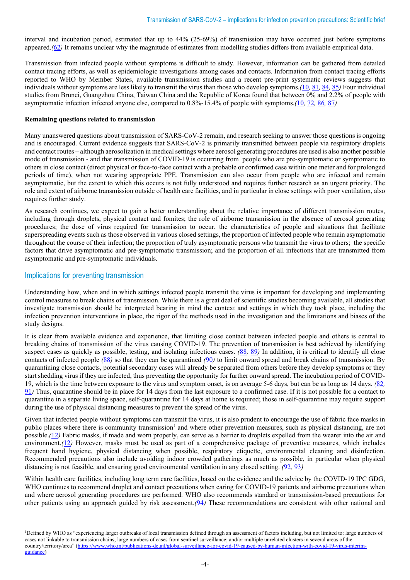interval and incubation period, estimated that up to 44% (25-69%) of transmission may have occurred just before symptoms appeared.*(*62*)* It remains unclear why the magnitude of estimates from modelling studies differs from available empirical data.

Transmission from infected people without symptoms is difficult to study. However, information can be gathered from detailed contact tracing efforts, as well as epidemiologic investigations among cases and contacts. Information from contact tracing efforts reported to WHO by Member States, available transmission studies and a recent pre-print systematic reviews suggests that individuals without symptoms are less likely to transmit the virus than those who develop symptoms.*(*10*,* 81*,* 84*,* 85*)* Four individual studies from Brunei, Guangzhou China, Taiwan China and the Republic of Korea found that between 0% and 2.2% of people with asymptomatic infection infected anyone else, compared to 0.8%-15.4% of people with symptoms.*(*10*,* 72*,* 86*,* 87*)*

#### **Remaining questions related to transmission**

Many unanswered questions about transmission of SARS-CoV-2 remain, and research seeking to answer those questions is ongoing and is encouraged. Current evidence suggests that SARS-CoV-2 is primarily transmitted between people via respiratory droplets and contact routes – although aerosolization in medical settings where aerosol generating procedures are used is also another possible mode of transmission - and that transmission of COVID-19 is occurring from people who are pre-symptomatic or symptomatic to others in close contact (direct physical or face-to-face contact with a probable or confirmed case within one meter and for prolonged periods of time), when not wearing appropriate PPE. Transmission can also occur from people who are infected and remain asymptomatic, but the extent to which this occurs is not fully understood and requires further research as an urgent priority. The role and extent of airborne transmission outside of health care facilities, and in particular in close settings with poor ventilation, also requires further study.

As research continues, we expect to gain a better understanding about the relative importance of different transmission routes, including through droplets, physical contact and fomites; the role of airborne transmission in the absence of aerosol generating procedures; the dose of virus required for transmission to occur, the characteristics of people and situations that facilitate superspreading events such as those observed in various closed settings, the proportion of infected people who remain asymptomatic throughout the course of their infection; the proportion of truly asymptomatic persons who transmit the virus to others; the specific factors that drive asymptomatic and pre-symptomatic transmission; and the proportion of all infections that are transmitted from asymptomatic and pre-symptomatic individuals.

## Implications for preventing transmission

Understanding how, when and in which settings infected people transmit the virus is important for developing and implementing control measures to break chains of transmission. While there is a great deal of scientific studies becoming available, all studies that investigate transmission should be interpreted bearing in mind the context and settings in which they took place, including the infection prevention interventions in place, the rigor of the methods used in the investigation and the limitations and biases of the study designs.

It is clear from available evidence and experience, that limiting close contact between infected people and others is central to breaking chains of transmission of the virus causing COVID-19. The prevention of transmission is best achieved by identifying suspect cases as quickly as possible, testing, and isolating infectious cases. *(*88*,* 89*)* In addition, it is critical to identify all close contacts of infected people *(*88*)* so that they can be quarantined *(*90*)* to limit onward spread and break chains of transmission. By quarantining close contacts, potential secondary cases will already be separated from others before they develop symptoms or they start shedding virus if they are infected, thus preventing the opportunity for further onward spread. The incubation period of COVID-19, which is the time between exposure to the virus and symptom onset, is on average 5-6 days, but can be as long as 14 days. *(*82*,*  91*)* Thus, quarantine should be in place for 14 days from the last exposure to a confirmed case. If it is not possible for a contact to quarantine in a separate living space, self-quarantine for 14 days at home is required; those in self-quarantine may require support during the use of physical distancing measures to prevent the spread of the virus.

Given that infected people without symptoms can transmit the virus, it is also prudent to encourage the use of fabric face masks in public places where there is community transmission<sup>[1](#page-3-0)</sup> and where other prevention measures, such as physical distancing, are not possible.*(*12*)* Fabric masks, if made and worn properly, can serve as a barrier to droplets expelled from the wearer into the air and environment.*(*12*)* However, masks must be used as part of a comprehensive package of preventive measures, which includes frequent hand hygiene, physical distancing when possible, respiratory etiquette, environmental cleaning and disinfection. Recommended precautions also include avoiding indoor crowded gatherings as much as possible, in particular when physical distancing is not feasible, and ensuring good environmental ventilation in any closed setting. *(*92*,* 93*)*

Within health care facilities, including long term care facilities, based on the evidence and the advice by the COVID-19 IPC GDG, WHO continues to recommend droplet and contact precautions when caring for COVID-19 patients and airborne precautions when and where aerosol generating procedures are performed. WHO also recommends standard or transmission-based precautions for other patients using an approach guided by risk assessment.*(*94*)* These recommendations are consistent with other national and

<span id="page-3-0"></span><sup>&</sup>lt;sup>1</sup>Defined by WHO as "experiencing larger outbreaks of local transmission defined through an assessment of factors including, but not limited to: large numbers of cases not linkable to transmission chains; large numbers of cases from sentinel surveillance; and/or multiple unrelated clusters in several areas of the country/territory/area" [\(https://www.who.int/publications-detail/global-surveillance-for-covid-19-caused-by-human-infection-with-covid-19-virus-interim](https://www.who.int/publications-detail/global-surveillance-for-covid-19-caused-by-human-infection-with-covid-19-virus-interim-guidance)[guidance\)](https://www.who.int/publications-detail/global-surveillance-for-covid-19-caused-by-human-infection-with-covid-19-virus-interim-guidance)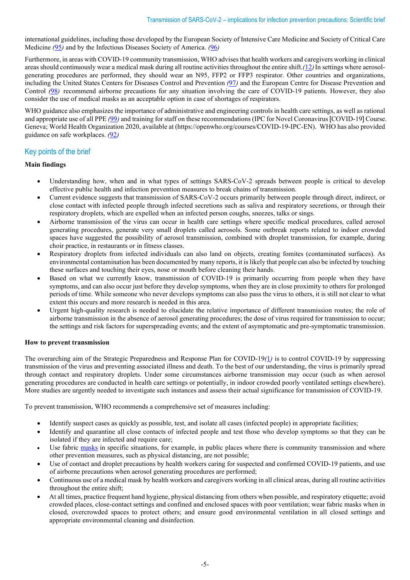international guidelines, including those developed by the European Society of Intensive Care Medicine and Society of Critical Care Medicine *(*95*)* and by the Infectious Diseases Society of America. *(*96*)*

Furthermore, in areas with COVID-19 community transmission, WHO advises that health workers and caregivers working in clinical areas should continuously wear a medical mask during all routine activities throughout the entire shift.*(*12*)*In settings where aerosolgenerating procedures are performed, they should wear an N95, FFP2 or FFP3 respirator. Other countries and organizations, including the United States Centers for Diseases Control and Prevention *(*97*)* and the European Centre for Disease Prevention and Control (98) recommend airborne precautions for any situation involving the care of COVID-19 patients. However, they also consider the use of medical masks as an acceptable option in case of shortages of respirators.

WHO guidance also emphasizes the importance of administrative and engineering controls in health care settings, as well as rational and appropriate use of all PPE *(*99*)* and training for staff on these recommendations (IPC for Novel Coronavirus [COVID-19] Course. Geneva; World Health Organization 2020, available at (https://openwho.org/courses/COVID-19-IPC-EN). WHO has also provided guidance on safe workplaces. *(*92*)*

# Key points of the brief

## **Main findings**

- Understanding how, when and in what types of settings SARS-CoV-2 spreads between people is critical to develop effective public health and infection prevention measures to break chains of transmission.
- Current evidence suggests that transmission of SARS-CoV-2 occurs primarily between people through direct, indirect, or close contact with infected people through infected secretions such as saliva and respiratory secretions, or through their respiratory droplets, which are expelled when an infected person coughs, sneezes, talks or sings.
- Airborne transmission of the virus can occur in health care settings where specific medical procedures, called aerosol generating procedures, generate very small droplets called aerosols. Some outbreak reports related to indoor crowded spaces have suggested the possibility of aerosol transmission, combined with droplet transmission, for example, during choir practice, in restaurants or in fitness classes.
- Respiratory droplets from infected individuals can also land on objects, creating fomites (contaminated surfaces). As environmental contamination has been documented by many reports, it is likely that people can also be infected by touching these surfaces and touching their eyes, nose or mouth before cleaning their hands.
- Based on what we currently know, transmission of COVID-19 is primarily occurring from people when they have symptoms, and can also occur just before they develop symptoms, when they are in close proximity to others for prolonged periods of time. While someone who never develops symptoms can also pass the virus to others, it is still not clear to what extent this occurs and more research is needed in this area.
- Urgent high-quality research is needed to elucidate the relative importance of different transmission routes; the role of airborne transmission in the absence of aerosol generating procedures; the dose of virus required for transmission to occur; the settings and risk factors for superspreading events; and the extent of asymptomatic and pre-symptomatic transmission.

### **How to prevent transmission**

The overarching aim of the Strategic Preparedness and Response Plan for COVID-19*(*1*)* is to control COVID-19 by suppressing transmission of the virus and preventing associated illness and death. To the best of our understanding, the virus is primarily spread through contact and respiratory droplets. Under some circumstances airborne transmission may occur (such as when aerosol generating procedures are conducted in health care settings or potentially, in indoor crowded poorly ventilated settings elsewhere). More studies are urgently needed to investigate such instances and assess their actual significance for transmission of COVID-19.

To prevent transmission, WHO recommends a comprehensive set of measures including:

- Identify suspect cases as quickly as possible, test, and isolate all cases (infected people) in appropriate facilities;
- Identify and quarantine all close contacts of infected people and test those who develop symptoms so that they can be isolated if they are infected and require care;
- Use fabric [masks](https://www.who.int/publications/i/item/advice-on-the-use-of-masks-in-the-community-during-home-care-and-in-healthcare-settings-in-the-context-of-the-novel-coronavirus-(2019-ncov)-outbreak) in specific situations, for example, in public places where there is community transmission and where other prevention measures, such as physical distancing, are not possible;
- Use of contact and droplet precautions by health workers caring for suspected and confirmed COVID-19 patients, and use of airborne precautions when aerosol generating procedures are performed;
- Continuous use of a medical mask by health workers and caregivers working in all clinical areas, during all routine activities throughout the entire shift;
- At all times, practice frequent hand hygiene, physical distancing from others when possible, and respiratory etiquette; avoid crowded places, close-contact settings and confined and enclosed spaces with poor ventilation; wear fabric masks when in closed, overcrowded spaces to protect others; and ensure good environmental ventilation in all closed settings and appropriate environmental cleaning and disinfection.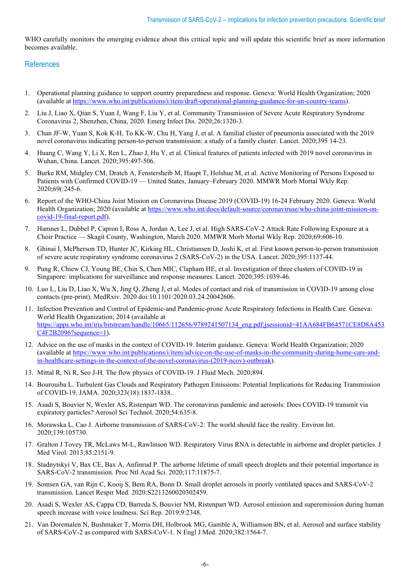WHO carefully monitors the emerging evidence about this critical topic and will update this scientific brief as more information becomes available.

# **References**

- 1. Operational planning guidance to support country preparedness and response. Geneva: World Health Organization; 2020 (available a[t https://www.who.int/publications/i/item/draft-operational-planning-guidance-for-un-country-teams\)](https://www.who.int/publications/i/item/draft-operational-planning-guidance-for-un-country-teams).
- 2. Liu J, Liao X, Qian S, Yuan J, Wang F, Liu Y, et al. Community Transmission of Severe Acute Respiratory Syndrome Coronavirus 2, Shenzhen, China, 2020. Emerg Infect Dis. 2020;26:1320-3.
- 3. Chan JF-W, Yuan S, Kok K-H, To KK-W, Chu H, Yang J, et al. A familial cluster of pneumonia associated with the 2019 novel coronavirus indicating person-to-person transmission: a study of a family cluster. Lancet. 2020;395 14-23.
- 4. Huang C, Wang Y, Li X, Ren L, Zhao J, Hu Y, et al. Clinical features of patients infected with 2019 novel coronavirus in Wuhan, China. Lancet. 2020;395:497-506.
- 5. Burke RM, Midgley CM, Dratch A, Fenstersheib M, Haupt T, Holshue M, et al. Active Monitoring of Persons Exposed to Patients with Confirmed COVID-19 — United States, January–February 2020. MMWR Morb Mortal Wkly Rep. 2020;69(:245-6.
- 6. Report of the WHO-China Joint Mission on Coronavirus Disease 2019 (COVID-19) 16-24 February 2020. Geneva: World Health Organization; 2020 (available at [https://www.who.int/docs/default-source/coronaviruse/who-china-joint-mission-on](https://www.who.int/docs/default-source/coronaviruse/who-china-joint-mission-on-covid-19-final-report.pdf)[covid-19-final-report.pdf\)](https://www.who.int/docs/default-source/coronaviruse/who-china-joint-mission-on-covid-19-final-report.pdf).
- 7. Hamner L, Dubbel P, Capron I, Ross A, Jordan A, Lee J, et al. High SARS-CoV-2 Attack Rate Following Exposure at a Choir Practice — Skagit County, Washington, March 2020. MMWR Morb Mortal Wkly Rep. 2020;69:606-10.
- 8. Ghinai I, McPherson TD, Hunter JC, Kirking HL, Christiansen D, Joshi K, et al. First known person-to-person transmission of severe acute respiratory syndrome coronavirus 2 (SARS-CoV-2) in the USA. Lancet. 2020;395:1137-44.
- 9. Pung R, Chiew CJ, Young BE, Chin S, Chen MIC, Clapham HE, et al. Investigation of three clusters of COVID-19 in Singapore: implications for surveillance and response measures. Lancet. 2020;395:1039-46.
- 10. Luo L, Liu D, Liao X, Wu X, Jing Q, Zheng J, et al. Modes of contact and risk of transmission in COVID-19 among close contacts (pre-print). MedRxiv. 2020 doi:10.1101/2020.03.24.20042606.
- 11. Infection Prevention and Control of Epidemic-and Pandemic-prone Acute Respiratory Infections in Health Care. Geneva: World Health Organization; 2014 (available at [https://apps.who.int/iris/bitstream/handle/10665/112656/9789241507134\\_eng.pdf;jsessionid=41AA684FB64571CE8D8A453](https://apps.who.int/iris/bitstream/handle/10665/112656/9789241507134_eng.pdf;jsessionid=41AA684FB64571CE8D8A453C4F2B2096?sequence=1) [C4F2B2096?sequence=1\)](https://apps.who.int/iris/bitstream/handle/10665/112656/9789241507134_eng.pdf;jsessionid=41AA684FB64571CE8D8A453C4F2B2096?sequence=1).
- 12. Advice on the use of masks in the context of COVID-19. Interim guidance. Geneva: World Health Organization; 2020 (available a[t https://www.who.int/publications/i/item/advice-on-the-use-of-masks-in-the-community-during-home-care-and](https://www.who.int/publications/i/item/advice-on-the-use-of-masks-in-the-community-during-home-care-and-in-healthcare-settings-in-the-context-of-the-novel-coronavirus-(2019-ncov)-outbreak)[in-healthcare-settings-in-the-context-of-the-novel-coronavirus-\(2019-ncov\)-outbreak\)](https://www.who.int/publications/i/item/advice-on-the-use-of-masks-in-the-community-during-home-care-and-in-healthcare-settings-in-the-context-of-the-novel-coronavirus-(2019-ncov)-outbreak).
- 13. Mittal R, Ni R, Seo J-H. The flow physics of COVID-19. J Fluid Mech. 2020;894.
- 14. Bourouiba L. Turbulent Gas Clouds and Respiratory Pathogen Emissions: Potential Implications for Reducing Transmission of COVID-19. JAMA. 2020;323(18):1837-1838..
- 15. Asadi S, Bouvier N, Wexler AS, Ristenpart WD. The coronavirus pandemic and aerosols: Does COVID-19 transmit via expiratory particles? Aerosol Sci Technol. 2020;54:635-8.
- 16. Morawska L, Cao J. Airborne transmission of SARS-CoV-2: The world should face the reality. Environ Int. 2020;139:105730.
- 17. Gralton J Tovey TR, McLaws M-L, Rawlinson WD. Respiratory Virus RNA is detectable in airborne and droplet particles. J Med Virol. 2013;85:2151-9.
- 18. Stadnytskyi V, Bax CE, Bax A, Anfinrud P. The airborne lifetime of small speech droplets and their potential importance in SARS-CoV-2 transmission. Proc Ntl Acad Sci. 2020;117:11875-7.
- 19. Somsen GA, van Rijn C, Kooij S, Bem RA, Bonn D. Small droplet aerosols in poorly ventilated spaces and SARS-CoV-2 transmission. Lancet Respir Med. 2020:S2213260020302459.
- 20. Asadi S, Wexler AS, Cappa CD, Barreda S, Bouvier NM, Ristenpart WD. Aerosol emission and superemission during human speech increase with voice loudness. Sci Rep. 2019;9:2348.
- 21. Van Doremalen N, Bushmaker T, Morris DH, Holbrook MG, Gamble A, Williamson BN, et al. Aerosol and surface stability of SARS-CoV-2 as compared with SARS-CoV-1. N Engl J Med. 2020;382:1564-7.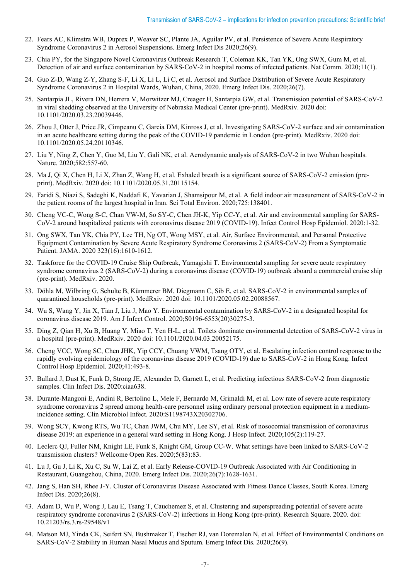- 22. Fears AC, Klimstra WB, Duprex P, Weaver SC, Plante JA, Aguilar PV, et al. Persistence of Severe Acute Respiratory Syndrome Coronavirus 2 in Aerosol Suspensions. Emerg Infect Dis 2020;26(9).
- 23. Chia PY, for the Singapore Novel Coronavirus Outbreak Research T, Coleman KK, Tan YK, Ong SWX, Gum M, et al. Detection of air and surface contamination by SARS-CoV-2 in hospital rooms of infected patients. Nat Comm. 2020;11(1).
- 24. Guo Z-D, Wang Z-Y, Zhang S-F, Li X, Li L, Li C, et al. Aerosol and Surface Distribution of Severe Acute Respiratory Syndrome Coronavirus 2 in Hospital Wards, Wuhan, China, 2020. Emerg Infect Dis. 2020;26(7).
- 25. Santarpia JL, Rivera DN, Herrera V, Morwitzer MJ, Creager H, Santarpia GW, et al. Transmission potential of SARS-CoV-2 in viral shedding observed at the University of Nebraska Medical Center (pre-print). MedRxiv. 2020 doi: 10.1101/2020.03.23.20039446.
- 26. Zhou J, Otter J, Price JR, Cimpeanu C, Garcia DM, Kinross J, et al. Investigating SARS-CoV-2 surface and air contamination in an acute healthcare setting during the peak of the COVID-19 pandemic in London (pre-print). MedRxiv. 2020 doi: 10.1101/2020.05.24.20110346.
- 27. Liu Y, Ning Z, Chen Y, Guo M, Liu Y, Gali NK, et al. Aerodynamic analysis of SARS-CoV-2 in two Wuhan hospitals. Nature. 2020;582:557-60.
- 28. Ma J, Qi X, Chen H, Li X, Zhan Z, Wang H, et al. Exhaled breath is a significant source of SARS-CoV-2 emission (preprint). MedRxiv. 2020 doi: 10.1101/2020.05.31.20115154.
- 29. Faridi S, Niazi S, Sadeghi K, Naddafi K, Yavarian J, Shamsipour M, et al. A field indoor air measurement of SARS-CoV-2 in the patient rooms of the largest hospital in Iran. Sci Total Environ. 2020;725:138401.
- 30. Cheng VC-C, Wong S-C, Chan VW-M, So SY-C, Chen JH-K, Yip CC-Y, et al. Air and environmental sampling for SARS-CoV-2 around hospitalized patients with coronavirus disease 2019 (COVID-19). Infect Control Hosp Epidemiol. 2020:1-32.
- 31. Ong SWX, Tan YK, Chia PY, Lee TH, Ng OT, Wong MSY, et al. Air, Surface Environmental, and Personal Protective Equipment Contamination by Severe Acute Respiratory Syndrome Coronavirus 2 (SARS-CoV-2) From a Symptomatic Patient. JAMA. 2020 323(16):1610-1612.
- 32. Taskforce for the COVID-19 Cruise Ship Outbreak, Yamagishi T. Environmental sampling for severe acute respiratory syndrome coronavirus 2 (SARS-CoV-2) during a coronavirus disease (COVID-19) outbreak aboard a commercial cruise ship (pre-print). MedRxiv. 2020.
- 33. Döhla M, Wilbring G, Schulte B, Kümmerer BM, Diegmann C, Sib E, et al. SARS-CoV-2 in environmental samples of quarantined households (pre-print). MedRxiv. 2020 doi: 10.1101/2020.05.02.20088567.
- 34. Wu S, Wang Y, Jin X, Tian J, Liu J, Mao Y. Environmental contamination by SARS-CoV-2 in a designated hospital for coronavirus disease 2019. Am J Infect Control. 2020;S0196-6553(20)30275-3.
- 35. Ding Z, Qian H, Xu B, Huang Y, Miao T, Yen H-L, et al. Toilets dominate environmental detection of SARS-CoV-2 virus in a hospital (pre-print). MedRxiv. 2020 doi: 10.1101/2020.04.03.20052175.
- 36. Cheng VCC, Wong SC, Chen JHK, Yip CCY, Chuang VWM, Tsang OTY, et al. Escalating infection control response to the rapidly evolving epidemiology of the coronavirus disease 2019 (COVID-19) due to SARS-CoV-2 in Hong Kong. Infect Control Hosp Epidemiol. 2020;41:493-8.
- 37. Bullard J, Dust K, Funk D, Strong JE, Alexander D, Garnett L, et al. Predicting infectious SARS-CoV-2 from diagnostic samples. Clin Infect Dis. 2020:ciaa638.
- 38. Durante-Mangoni E, Andini R, Bertolino L, Mele F, Bernardo M, Grimaldi M, et al. Low rate of severe acute respiratory syndrome coronavirus 2 spread among health-care personnel using ordinary personal protection equipment in a mediumincidence setting. Clin Microbiol Infect. 2020:S1198743X20302706.
- 39. Wong SCY, Kwong RTS, Wu TC, Chan JWM, Chu MY, Lee SY, et al. Risk of nosocomial transmission of coronavirus disease 2019: an experience in a general ward setting in Hong Kong. J Hosp Infect. 2020;105(2):119-27.
- 40. Leclerc QJ, Fuller NM, Knight LE, Funk S, Knight GM, Group CC-W. What settings have been linked to SARS-CoV-2 transmission clusters? Wellcome Open Res. 2020;5(83):83.
- 41. Lu J, Gu J, Li K, Xu C, Su W, Lai Z, et al. Early Release-COVID-19 Outbreak Associated with Air Conditioning in Restaurant, Guangzhou, China, 2020. Emerg Infect Dis. 2020;26(7):1628-1631.
- 42. Jang S, Han SH, Rhee J-Y. Cluster of Coronavirus Disease Associated with Fitness Dance Classes, South Korea. Emerg Infect Dis. 2020;26(8).
- 43. Adam D, Wu P, Wong J, Lau E, Tsang T, Cauchemez S, et al. Clustering and superspreading potential of severe acute respiratory syndrome coronavirus 2 (SARS-CoV-2) infections in Hong Kong (pre-print). Research Square. 2020. doi: 10.21203/rs.3.rs-29548/v1
- 44. Matson MJ, Yinda CK, Seifert SN, Bushmaker T, Fischer RJ, van Doremalen N, et al. Effect of Environmental Conditions on SARS-CoV-2 Stability in Human Nasal Mucus and Sputum. Emerg Infect Dis. 2020;26(9).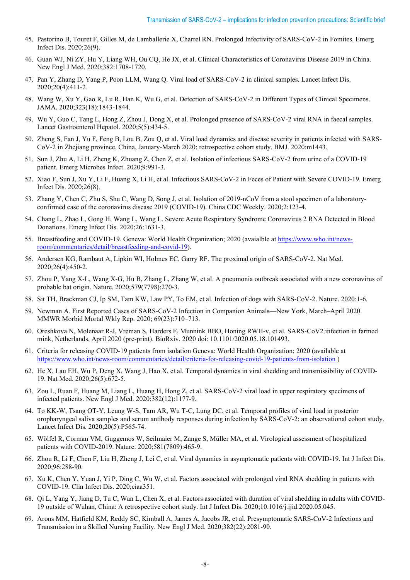- 45. Pastorino B, Touret F, Gilles M, de Lamballerie X, Charrel RN. Prolonged Infectivity of SARS-CoV-2 in Fomites. Emerg Infect Dis. 2020;26(9).
- 46. Guan WJ, Ni ZY, Hu Y, Liang WH, Ou CQ, He JX, et al. Clinical Characteristics of Coronavirus Disease 2019 in China. New Engl J Med. 2020;382:1708-1720.
- 47. Pan Y, Zhang D, Yang P, Poon LLM, Wang Q. Viral load of SARS-CoV-2 in clinical samples. Lancet Infect Dis. 2020;20(4):411-2.
- 48. Wang W, Xu Y, Gao R, Lu R, Han K, Wu G, et al. Detection of SARS-CoV-2 in Different Types of Clinical Specimens. JAMA. 2020;323(18):1843-1844.
- 49. Wu Y, Guo C, Tang L, Hong Z, Zhou J, Dong X, et al. Prolonged presence of SARS-CoV-2 viral RNA in faecal samples. Lancet Gastroenterol Hepatol. 2020;5(5):434-5.
- 50. Zheng S, Fan J, Yu F, Feng B, Lou B, Zou Q, et al. Viral load dynamics and disease severity in patients infected with SARS-CoV-2 in Zhejiang province, China, January-March 2020: retrospective cohort study. BMJ. 2020:m1443.
- 51. Sun J, Zhu A, Li H, Zheng K, Zhuang Z, Chen Z, et al. Isolation of infectious SARS-CoV-2 from urine of a COVID-19 patient. Emerg Microbes Infect. 2020;9:991-3.
- 52. Xiao F, Sun J, Xu Y, Li F, Huang X, Li H, et al. Infectious SARS-CoV-2 in Feces of Patient with Severe COVID-19. Emerg Infect Dis. 2020;26(8).
- 53. Zhang Y, Chen C, Zhu S, Shu C, Wang D, Song J, et al. Isolation of 2019-nCoV from a stool specimen of a laboratoryconfirmed case of the coronavirus disease 2019 (COVID-19). China CDC Weekly. 2020;2:123-4.
- 54. Chang L, Zhao L, Gong H, Wang L, Wang L. Severe Acute Respiratory Syndrome Coronavirus 2 RNA Detected in Blood Donations. Emerg Infect Dis. 2020;26:1631-3.
- 55. Breastfeeding and COVID-19. Geneva: World Health Organization; 2020 (avaialble a[t https://www.who.int/news](https://www.who.int/news-room/commentaries/detail/breastfeeding-and-covid-19)[room/commentaries/detail/breastfeeding-and-covid-19\)](https://www.who.int/news-room/commentaries/detail/breastfeeding-and-covid-19).
- 56. Andersen KG, Rambaut A, Lipkin WI, Holmes EC, Garry RF. The proximal origin of SARS-CoV-2. Nat Med. 2020;26(4):450-2.
- 57. Zhou P, Yang X-L, Wang X-G, Hu B, Zhang L, Zhang W, et al. A pneumonia outbreak associated with a new coronavirus of probable bat origin. Nature. 2020;579(7798):270-3.
- 58. Sit TH, Brackman CJ, Ip SM, Tam KW, Law PY, To EM, et al. Infection of dogs with SARS-CoV-2. Nature. 2020:1-6.
- 59. Newman A. First Reported Cases of SARS-CoV-2 Infection in Companion Animals—New York, March–April 2020. MMWR Morbid Mortal Wkly Rep. 2020; 69(23):710–713.
- 60. Oreshkova N, Molenaar R-J, Vreman S, Harders F, Munnink BBO, Honing RWH-v, et al. SARS-CoV2 infection in farmed mink, Netherlands, April 2020 (pre-print). BioRxiv. 2020 doi: 10.1101/2020.05.18.101493.
- 61. Criteria for releasing COVID-19 patients from isolation Geneva: World Health Organization; 2020 (available at <https://www.who.int/news-room/commentaries/detail/criteria-for-releasing-covid-19-patients-from-isolation> )
- 62. He X, Lau EH, Wu P, Deng X, Wang J, Hao X, et al. Temporal dynamics in viral shedding and transmissibility of COVID-19. Nat Med. 2020;26(5):672-5.
- 63. Zou L, Ruan F, Huang M, Liang L, Huang H, Hong Z, et al. SARS-CoV-2 viral load in upper respiratory specimens of infected patients. New Engl J Med. 2020;382(12):1177-9.
- 64. To KK-W, Tsang OT-Y, Leung W-S, Tam AR, Wu T-C, Lung DC, et al. Temporal profiles of viral load in posterior oropharyngeal saliva samples and serum antibody responses during infection by SARS-CoV-2: an observational cohort study. Lancet Infect Dis. 2020;20(5):P565-74.
- 65. Wölfel R, Corman VM, Guggemos W, Seilmaier M, Zange S, Müller MA, et al. Virological assessment of hospitalized patients with COVID-2019. Nature. 2020;581(7809):465-9.
- 66. Zhou R, Li F, Chen F, Liu H, Zheng J, Lei C, et al. Viral dynamics in asymptomatic patients with COVID-19. Int J Infect Dis. 2020;96:288-90.
- 67. Xu K, Chen Y, Yuan J, Yi P, Ding C, Wu W, et al. Factors associated with prolonged viral RNA shedding in patients with COVID-19. Clin Infect Dis. 2020;ciaa351.
- 68. Qi L, Yang Y, Jiang D, Tu C, Wan L, Chen X, et al. Factors associated with duration of viral shedding in adults with COVID-19 outside of Wuhan, China: A retrospective cohort study. Int J Infect Dis. 2020;10.1016/j.ijid.2020.05.045.
- 69. Arons MM, Hatfield KM, Reddy SC, Kimball A, James A, Jacobs JR, et al. Presymptomatic SARS-CoV-2 Infections and Transmission in a Skilled Nursing Facility. New Engl J Med. 2020;382(22):2081-90.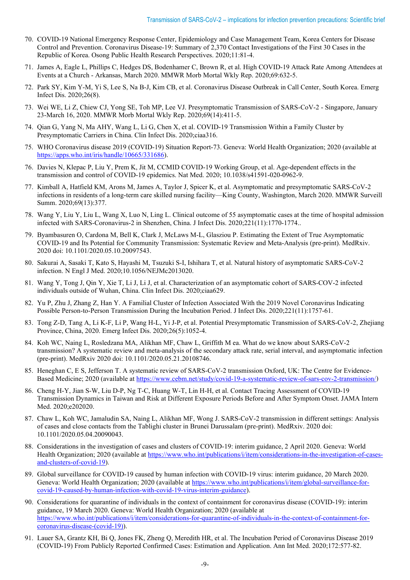- 70. COVID-19 National Emergency Response Center, Epidemiology and Case Management Team, Korea Centers for Disease Control and Prevention. Coronavirus Disease-19: Summary of 2,370 Contact Investigations of the First 30 Cases in the Republic of Korea. Osong Public Health Research Perspectives. 2020;11:81-4.
- 71. James A, Eagle L, Phillips C, Hedges DS, Bodenhamer C, Brown R, et al. High COVID-19 Attack Rate Among Attendees at Events at a Church - Arkansas, March 2020. MMWR Morb Mortal Wkly Rep. 2020;69:632-5.
- 72. Park SY, Kim Y-M, Yi S, Lee S, Na B-J, Kim CB, et al. Coronavirus Disease Outbreak in Call Center, South Korea. Emerg Infect Dis. 2020;26(8).
- 73. Wei WE, Li Z, Chiew CJ, Yong SE, Toh MP, Lee VJ. Presymptomatic Transmission of SARS-CoV-2 Singapore, January 23-March 16, 2020. MMWR Morb Mortal Wkly Rep. 2020;69(14):411-5.
- 74. Qian G, Yang N, Ma AHY, Wang L, Li G, Chen X, et al. COVID-19 Transmission Within a Family Cluster by Presymptomatic Carriers in China. Clin Infect Dis. 2020;ciaa316.
- 75. WHO Coronavirus disease 2019 (COVID-19) Situation Report-73. Geneva: World Health Organization; 2020 (available at [https://apps.who.int/iris/handle/10665/331686\)](https://apps.who.int/iris/handle/10665/331686).
- 76. Davies N, Klepac P, Liu Y, Prem K, Jit M, CCMID COVID-19 Working Group, et al. Age-dependent effects in the transmission and control of COVID-19 epidemics. Nat Med. 2020; 10.1038/s41591-020-0962-9.
- 77. Kimball A, Hatfield KM, Arons M, James A, Taylor J, Spicer K, et al. Asymptomatic and presymptomatic SARS-CoV-2 infections in residents of a long-term care skilled nursing facility—King County, Washington, March 2020. MMWR Surveill Summ. 2020;69(13):377.
- 78. Wang Y, Liu Y, Liu L, Wang X, Luo N, Ling L. Clinical outcome of 55 asymptomatic cases at the time of hospital admission infected with SARS-Coronavirus-2 in Shenzhen, China. J Infect Dis. 2020;221(11):1770-1774..
- 79. Byambasuren O, Cardona M, Bell K, Clark J, McLaws M-L, Glasziou P. Estimating the Extent of True Asymptomatic COVID-19 and Its Potential for Community Transmission: Systematic Review and Meta-Analysis (pre-print). MedRxiv. 2020 doi: 10.1101/2020.05.10.20097543.
- 80. Sakurai A, Sasaki T, Kato S, Hayashi M, Tsuzuki S-I, Ishihara T, et al. Natural history of asymptomatic SARS-CoV-2 infection. N Engl J Med. 2020;10.1056/NEJMc2013020.
- 81. Wang Y, Tong J, Qin Y, Xie T, Li J, Li J, et al. Characterization of an asymptomatic cohort of SARS-COV-2 infected individuals outside of Wuhan, China. Clin Infect Dis. 2020;ciaa629.
- 82. Yu P, Zhu J, Zhang Z, Han Y. A Familial Cluster of Infection Associated With the 2019 Novel Coronavirus Indicating Possible Person-to-Person Transmission During the Incubation Period. J Infect Dis. 2020;221(11):1757-61.
- 83. Tong Z-D, Tang A, Li K-F, Li P, Wang H-L, Yi J-P, et al. Potential Presymptomatic Transmission of SARS-CoV-2, Zhejiang Province, China, 2020. Emerg Infect Dis. 2020;26(5):1052-4.
- 84. Koh WC, Naing L, Rosledzana MA, Alikhan MF, Chaw L, Griffith M ea. What do we know about SARS-CoV-2 transmission? A systematic review and meta-analysis of the secondary attack rate, serial interval, and asymptomatic infection (pre-print). MedRxiv 2020 doi: 10.1101/2020.05.21.20108746.
- 85. Heneghan C, E S, Jefferson T. A systematic review of SARS-CoV-2 transmission Oxford, UK: The Centre for Evidence-Based Medicine; 2020 (available at [https://www.cebm.net/study/covid-19-a-systematic-review-of-sars-cov-2-transmission/\)](https://www.cebm.net/study/covid-19-a-systematic-review-of-sars-cov-2-transmission/)
- 86. Cheng H-Y, Jian S-W, Liu D-P, Ng T-C, Huang W-T, Lin H-H, et al. Contact Tracing Assessment of COVID-19 Transmission Dynamics in Taiwan and Risk at Different Exposure Periods Before and After Symptom Onset. JAMA Intern Med. 2020;e202020.
- 87. Chaw L, Koh WC, Jamaludin SA, Naing L, Alikhan MF, Wong J. SARS-CoV-2 transmission in different settings: Analysis of cases and close contacts from the Tablighi cluster in Brunei Darussalam (pre-print). MedRxiv. 2020 doi: 10.1101/2020.05.04.20090043.
- 88. Considerations in the investigation of cases and clusters of COVID-19: interim guidance, 2 April 2020. Geneva: World Health Organization; 2020 (available at [https://www.who.int/publications/i/item/considerations-in-the-investigation-of-cases](https://www.who.int/publications/i/item/considerations-in-the-investigation-of-cases-and-clusters-of-covid-19)[and-clusters-of-covid-19\)](https://www.who.int/publications/i/item/considerations-in-the-investigation-of-cases-and-clusters-of-covid-19).
- 89. Global surveillance for COVID-19 caused by human infection with COVID-19 virus: interim guidance, 20 March 2020. Geneva: World Health Organization; 2020 (available a[t https://www.who.int/publications/i/item/global-surveillance-for](https://www.who.int/publications/i/item/global-surveillance-for-covid-19-caused-by-human-infection-with-covid-19-virus-interim-guidance)[covid-19-caused-by-human-infection-with-covid-19-virus-interim-guidance\)](https://www.who.int/publications/i/item/global-surveillance-for-covid-19-caused-by-human-infection-with-covid-19-virus-interim-guidance).
- 90. Considerations for quarantine of individuals in the context of containment for coronavirus disease (COVID-19): interim guidance, 19 March 2020. Geneva: World Health Organization; 2020 (available at [https://www.who.int/publications/i/item/considerations-for-quarantine-of-individuals-in-the-context-of-containment-for](https://www.who.int/publications/i/item/considerations-for-quarantine-of-individuals-in-the-context-of-containment-for-coronavirus-disease-(covid-19))[coronavirus-disease-\(covid-19\)\)](https://www.who.int/publications/i/item/considerations-for-quarantine-of-individuals-in-the-context-of-containment-for-coronavirus-disease-(covid-19)).
- 91. Lauer SA, Grantz KH, Bi Q, Jones FK, Zheng Q, Meredith HR, et al. The Incubation Period of Coronavirus Disease 2019 (COVID-19) From Publicly Reported Confirmed Cases: Estimation and Application. Ann Int Med. 2020;172:577-82.